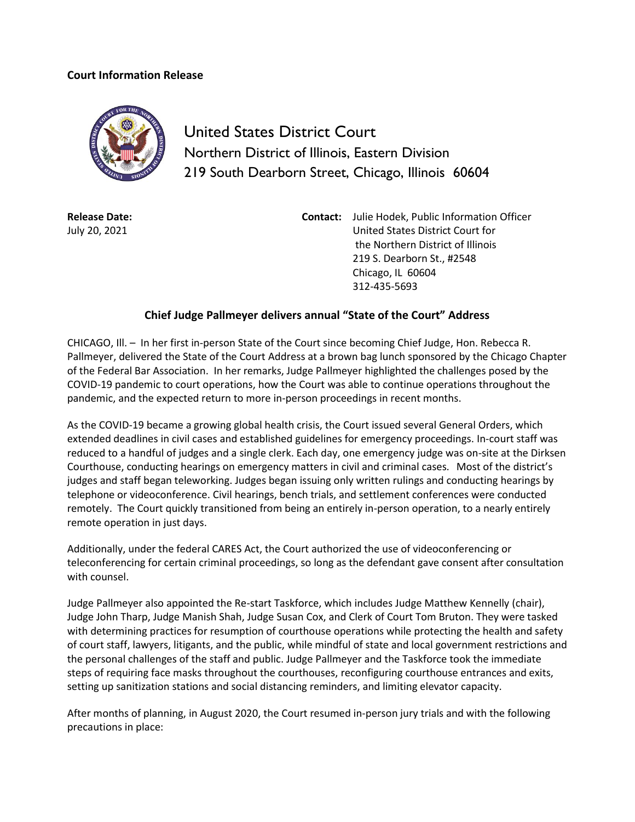## **Court Information Release**



United States District Court Northern District of Illinois, Eastern Division 219 South Dearborn Street, Chicago, Illinois 60604

**Release Date:** July 20, 2021

**Contact:** Julie Hodek, Public Information Officer United States District Court for the Northern District of Illinois 219 S. Dearborn St., #2548 Chicago, IL 60604 312-435-5693

## **Chief Judge Pallmeyer delivers annual "State of the Court" Address**

CHICAGO, Ill. – In her first in-person State of the Court since becoming Chief Judge, Hon. Rebecca R. Pallmeyer, delivered the State of the Court Address at a brown bag lunch sponsored by the Chicago Chapter of the Federal Bar Association. In her remarks, Judge Pallmeyer highlighted the challenges posed by the COVID-19 pandemic to court operations, how the Court was able to continue operations throughout the pandemic, and the expected return to more in-person proceedings in recent months.

As the COVID-19 became a growing global health crisis, the Court issued several General Orders, which extended deadlines in civil cases and established guidelines for emergency proceedings. In-court staff was reduced to a handful of judges and a single clerk. Each day, one emergency judge was on-site at the Dirksen Courthouse, conducting hearings on emergency matters in civil and criminal cases. Most of the district's judges and staff began teleworking. Judges began issuing only written rulings and conducting hearings by telephone or videoconference. Civil hearings, bench trials, and settlement conferences were conducted remotely. The Court quickly transitioned from being an entirely in-person operation, to a nearly entirely remote operation in just days.

Additionally, under the federal CARES Act, the Court authorized the use of videoconferencing or teleconferencing for certain criminal proceedings, so long as the defendant gave consent after consultation with counsel.

Judge Pallmeyer also appointed the Re-start Taskforce, which includes Judge Matthew Kennelly (chair), Judge John Tharp, Judge Manish Shah, Judge Susan Cox, and Clerk of Court Tom Bruton. They were tasked with determining practices for resumption of courthouse operations while protecting the health and safety of court staff, lawyers, litigants, and the public, while mindful of state and local government restrictions and the personal challenges of the staff and public. Judge Pallmeyer and the Taskforce took the immediate steps of requiring face masks throughout the courthouses, reconfiguring courthouse entrances and exits, setting up sanitization stations and social distancing reminders, and limiting elevator capacity.

After months of planning, in August 2020, the Court resumed in-person jury trials and with the following precautions in place: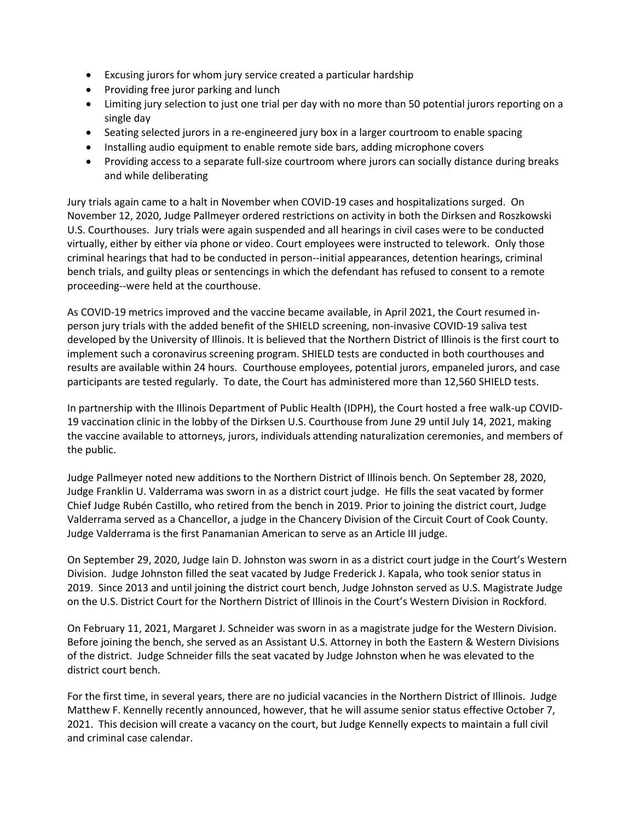- Excusing jurors for whom jury service created a particular hardship
- Providing free juror parking and lunch
- Limiting jury selection to just one trial per day with no more than 50 potential jurors reporting on a single day
- Seating selected jurors in a re-engineered jury box in a larger courtroom to enable spacing
- Installing audio equipment to enable remote side bars, adding microphone covers
- Providing access to a separate full-size courtroom where jurors can socially distance during breaks and while deliberating

Jury trials again came to a halt in November when COVID-19 cases and hospitalizations surged. On November 12, 2020, Judge Pallmeyer ordered restrictions on activity in both the Dirksen and Roszkowski U.S. Courthouses. Jury trials were again suspended and all hearings in civil cases were to be conducted virtually, either by either via phone or video. Court employees were instructed to telework. Only those criminal hearings that had to be conducted in person--initial appearances, detention hearings, criminal bench trials, and guilty pleas or sentencings in which the defendant has refused to consent to a remote proceeding--were held at the courthouse.

As COVID-19 metrics improved and the vaccine became available, in April 2021, the Court resumed inperson jury trials with the added benefit of the SHIELD screening, non-invasive COVID-19 saliva test developed by the University of Illinois. It is believed that the Northern District of Illinois is the first court to implement such a coronavirus screening program. SHIELD tests are conducted in both courthouses and results are available within 24 hours. Courthouse employees, potential jurors, empaneled jurors, and case participants are tested regularly. To date, the Court has administered more than 12,560 SHIELD tests.

In partnership with the Illinois Department of Public Health (IDPH), the Court hosted a free walk-up COVID-19 vaccination clinic in the lobby of the Dirksen U.S. Courthouse from June 29 until July 14, 2021, making the vaccine available to attorneys, jurors, individuals attending naturalization ceremonies, and members of the public.

Judge Pallmeyer noted new additions to the Northern District of Illinois bench. On September 28, 2020, Judge Franklin U. Valderrama was sworn in as a district court judge. He fills the seat vacated by former Chief Judge Rubén Castillo, who retired from the bench in 2019. Prior to joining the district court, Judge Valderrama served as a Chancellor, a judge in the Chancery Division of the Circuit Court of Cook County. Judge Valderrama is the first Panamanian American to serve as an Article III judge.

On September 29, 2020, Judge Iain D. Johnston was sworn in as a district court judge in the Court's Western Division. Judge Johnston filled the seat vacated by Judge Frederick J. Kapala, who took senior status in 2019. Since 2013 and until joining the district court bench, Judge Johnston served as U.S. Magistrate Judge on the U.S. District Court for the Northern District of Illinois in the Court's Western Division in Rockford.

On February 11, 2021, Margaret J. Schneider was sworn in as a magistrate judge for the Western Division. Before joining the bench, she served as an Assistant U.S. Attorney in both the Eastern & Western Divisions of the district. Judge Schneider fills the seat vacated by Judge Johnston when he was elevated to the district court bench.

For the first time, in several years, there are no judicial vacancies in the Northern District of Illinois. Judge Matthew F. Kennelly recently announced, however, that he will assume senior status effective October 7, 2021. This decision will create a vacancy on the court, but Judge Kennelly expects to maintain a full civil and criminal case calendar.